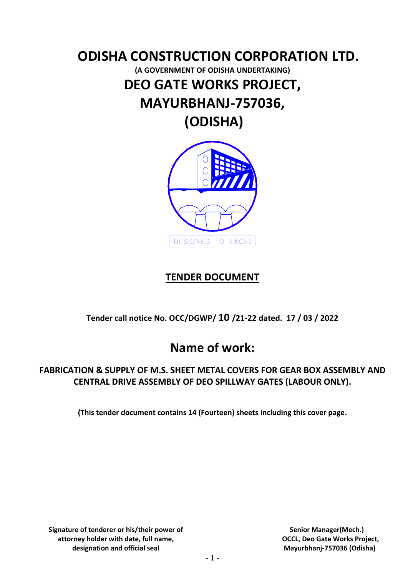# **ODISHA CONSTRUCTION CORPORATION LTD. (A GOVERNMENT OF ODISHA UNDERTAKING) DEO GATE WORKS PROJECT, MAYURBHANJ-757036, (ODISHA)**



## **TENDER DOCUMENT**

**Tender call notice No. OCC/DGWP/ 10 /21-22 dated. 17 / 03 / 2022**

# **Name of work:**

### **FABRICATION & SUPPLY OF M.S. SHEET METAL COVERS FOR GEAR BOX ASSEMBLY AND CENTRAL DRIVE ASSEMBLY OF DEO SPILLWAY GATES (LABOUR ONLY).**

**(This tender document contains 14 (Fourteen) sheets including this cover page.**

**Signature of tenderer or his/their power of attorney holder with date, full name, designation and official seal**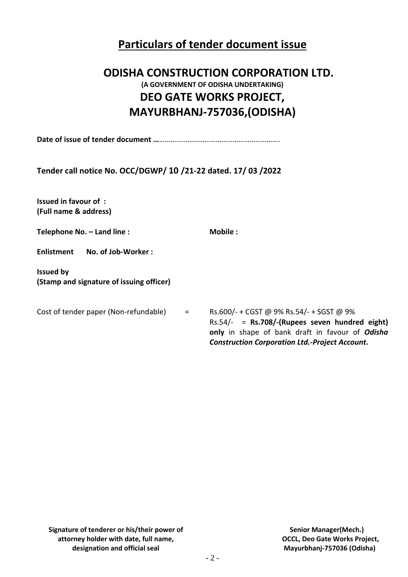# **Particulars of tender document issue**

# **ODISHA CONSTRUCTION CORPORATION LTD. (A GOVERNMENT OF ODISHA UNDERTAKING) DEO GATE WORKS PROJECT, MAYURBHANJ-757036,(ODISHA)**

**Date of issue of tender document …**……………………………………………………….

**Tender call notice No. OCC/DGWP/ 10 /21-22 dated. 17/ 03 /2022**

**Issued in favour of : (Full name & address)**

| Telephone No. - Land line : | Mobile: |  |  |
|-----------------------------|---------|--|--|
|                             |         |  |  |

**Enlistment No. of Job-Worker :**

**Issued by (Stamp and signature of issuing officer)**

Cost of tender paper (Non-refundable)  $=$  Rs.600/- + CGST @ 9% Rs.54/- + SGST @ 9% Rs.54/- = **Rs.708/-(Rupees seven hundred eight)**

**only** in shape of bank draft in favour of *Odisha Construction Corporation Ltd.-Project Account.*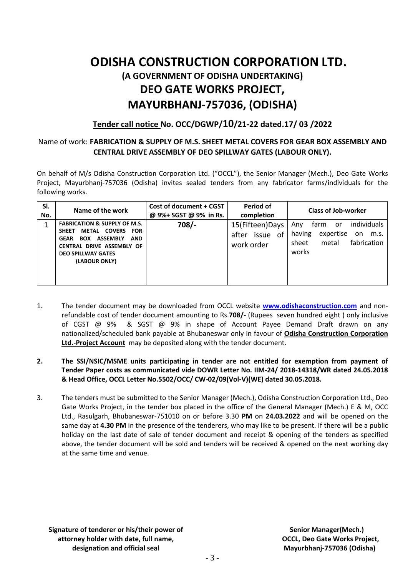# **ODISHA CONSTRUCTION CORPORATION LTD. (A GOVERNMENT OF ODISHA UNDERTAKING) DEO GATE WORKS PROJECT, MAYURBHANJ-757036, (ODISHA)**

### **Tender call notice No. OCC/DGWP/10/21-22 dated.17/ 03 /2022**

#### Name of work: **FABRICATION & SUPPLY OF M.S. SHEET METAL COVERS FOR GEAR BOX ASSEMBLY AND CENTRAL DRIVE ASSEMBLY OF DEO SPILLWAY GATES (LABOUR ONLY).**

On behalf of M/s Odisha Construction Corporation Ltd. ("OCCL"), the Senior Manager (Mech.), Deo Gate Works Project, Mayurbhanj-757036 (Odisha) invites sealed tenders from any fabricator farms/individuals for the following works.

| SI.<br>No. | Name of the work                                                                                                                                                                                                                  | Cost of document + CGST<br>@ 9%+ SGST @ 9% in Rs. | Period of<br>completion                               | <b>Class of Job-worker</b>                                                                                       |  |  |
|------------|-----------------------------------------------------------------------------------------------------------------------------------------------------------------------------------------------------------------------------------|---------------------------------------------------|-------------------------------------------------------|------------------------------------------------------------------------------------------------------------------|--|--|
| 4          | <b>FABRICATION &amp; SUPPLY OF M.S.</b><br><b>COVERS</b><br>METAL<br><b>FOR</b><br><b>SHEET</b><br><b>ASSEMBLY</b><br><b>AND</b><br>BOX<br><b>GEAR</b><br>CENTRAL DRIVE ASSEMBLY OF<br><b>DEO SPILLWAY GATES</b><br>(LABOUR ONLY) | $708/-$                                           | 15(Fifteen)Days<br>0f<br>issue<br>after<br>work order | individuals<br>tarm<br>Anv<br>or<br>expertise<br>having<br>m.s.<br>on.<br>fabrication<br>sheet<br>metal<br>works |  |  |

- 1. The tender document may be downloaded from OCCL website **[www.odishaconstruction.com](http://www.odishaconstruction.com/)** and nonrefundable cost of tender document amounting to Rs.**708/-** (Rupees seven hundred eight ) only inclusive of CGST @ 9% & SGST @ 9% in shape of Account Payee Demand Draft drawn on any nationalized/scheduled bank payable at Bhubaneswar only in favour of **Odisha Construction Corporation Ltd.-Project Account** may be deposited along with the tender document.
- **2. The SSI/NSIC/MSME units participating in tender are not entitled for exemption from payment of Tender Paper costs as communicated vide DOWR Letter No. IIM-24/ 2018-14318/WR dated 24.05.2018 & Head Office, OCCL Letter No.5502/OCC/ CW-02/09(Vol-V)(WE) dated 30.05.2018.**
- 3. The tenders must be submitted to the Senior Manager (Mech.), Odisha Construction Corporation Ltd., Deo Gate Works Project, in the tender box placed in the office of the General Manager (Mech.) E & M, OCC Ltd., Rasulgarh, Bhubaneswar-751010 on or before 3.30 **PM** on **24.03.2022** and will be opened on the same day at **4.30 PM** in the presence of the tenderers, who may like to be present. If there will be a public holiday on the last date of sale of tender document and receipt & opening of the tenders as specified above, the tender document will be sold and tenders will be received & opened on the next working day at the same time and venue.

**Signature of tenderer or his/their power of attorney holder with date, full name, designation and official seal**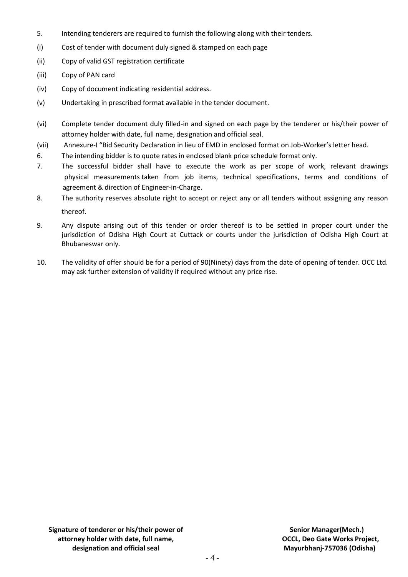- 5. Intending tenderers are required to furnish the following along with their tenders.
- (i) Cost of tender with document duly signed & stamped on each page
- (ii) Copy of valid GST registration certificate
- (iii) Copy of PAN card
- (iv) Copy of document indicating residential address.
- (v) Undertaking in prescribed format available in the tender document.
- (vi) Complete tender document duly filled-in and signed on each page by the tenderer or his/their power of attorney holder with date, full name, designation and official seal.
- (vii) Annexure-I "Bid Security Declaration in lieu of EMD in enclosed format on Job-Worker's letter head.
- 6. The intending bidder is to quote rates in enclosed blank price schedule format only.
- 7. The successful bidder shall have to execute the work as per scope of work, relevant drawings physical measurements taken from job items, technical specifications, terms and conditions of agreement & direction of Engineer-in-Charge.
- 8. The authority reserves absolute right to accept or reject any or all tenders without assigning any reason thereof.
- 9. Any dispute arising out of this tender or order thereof is to be settled in proper court under the jurisdiction of Odisha High Court at Cuttack or courts under the jurisdiction of Odisha High Court at Bhubaneswar only.
- 10. The validity of offer should be for a period of 90(Ninety) days from the date of opening of tender. OCC Ltd. may ask further extension of validity if required without any price rise.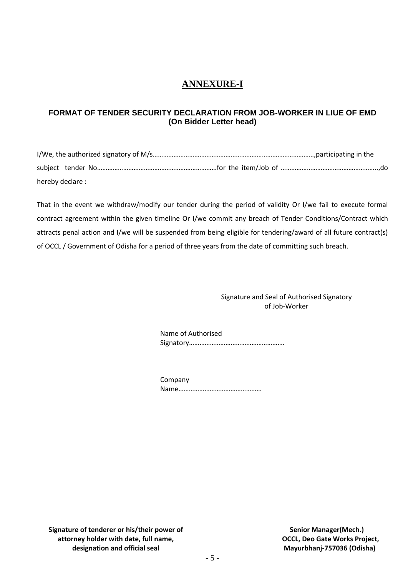### **ANNEXURE-I**

#### **FORMAT OF TENDER SECURITY DECLARATION FROM JOB-WORKER IN LIUE OF EMD (On Bidder Letter head)**

I/We, the authorized signatory of M/s…………………………………………………………………………………,participating in the subject tender No……………………………………………………………for the item/Job of ………………………………………………..,do hereby declare :

That in the event we withdraw/modify our tender during the period of validity Or I/we fail to execute formal contract agreement within the given timeline Or I/we commit any breach of Tender Conditions/Contract which attracts penal action and I/we will be suspended from being eligible for tendering/award of all future contract(s) of OCCL / Government of Odisha for a period of three years from the date of committing such breach.

> Signature and Seal of Authorised Signatory of Job-Worker

Name of Authorised Signatory……………………………………………….

Company Name…………………………………………

**Signature of tenderer or his/their power of attorney holder with date, full name, designation and official seal**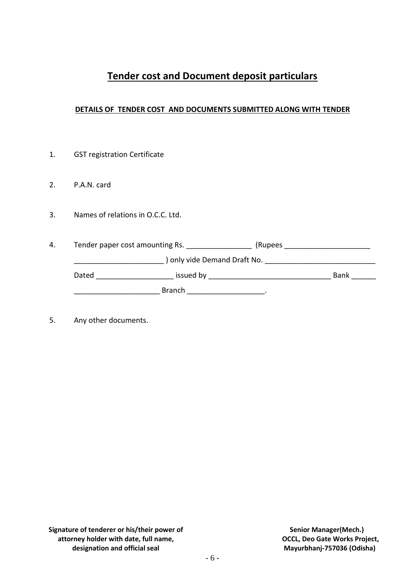## **Tender cost and Document deposit particulars**

#### **DETAILS OF TENDER COST AND DOCUMENTS SUBMITTED ALONG WITH TENDER**

2. P.A.N. card 3. Names of relations in O.C.C. Ltd. 4. Tender paper cost amounting Rs. \_\_\_\_\_\_\_\_\_\_\_\_\_\_\_\_\_\_\_\_(Rupees \_\_\_\_\_\_\_\_\_\_\_\_\_\_\_\_\_

\_\_\_\_\_\_\_\_\_\_\_\_\_\_\_\_\_\_\_\_\_\_ ) only vide Demand Draft No. \_\_\_\_\_\_\_\_\_\_\_\_\_\_\_\_\_\_\_\_\_\_\_\_\_\_\_ Dated \_\_\_\_\_\_\_\_\_\_\_\_\_\_\_\_\_\_\_ issued by \_\_\_\_\_\_\_\_\_\_\_\_\_\_\_\_\_\_\_\_\_\_\_\_\_\_\_\_\_\_ Bank \_\_\_\_\_\_  $\blacksquare$  Branch  $\blacksquare$   $\blacksquare$   $\blacksquare$ 

5. Any other documents.

1. GST registration Certificate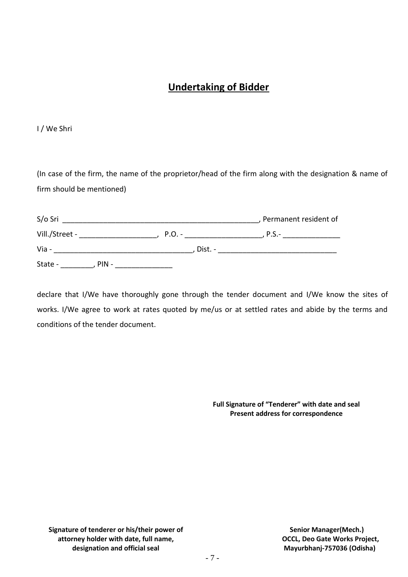## **Undertaking of Bidder**

I / We Shri

(In case of the firm, the name of the proprietor/head of the firm along with the designation & name of firm should be mentioned)

| S/o Sri            |          | , Permanent resident of |
|--------------------|----------|-------------------------|
| Vill./Street -     | $P.O. -$ | $P.S. -$                |
| Via -              | Dist. -  |                         |
| State -<br>$PIN -$ |          |                         |

declare that I/We have thoroughly gone through the tender document and I/We know the sites of works. I/We agree to work at rates quoted by me/us or at settled rates and abide by the terms and conditions of the tender document.

> **Full Signature of "Tenderer" with date and seal Present address for correspondence**

**Signature of tenderer or his/their power of attorney holder with date, full name, designation and official seal**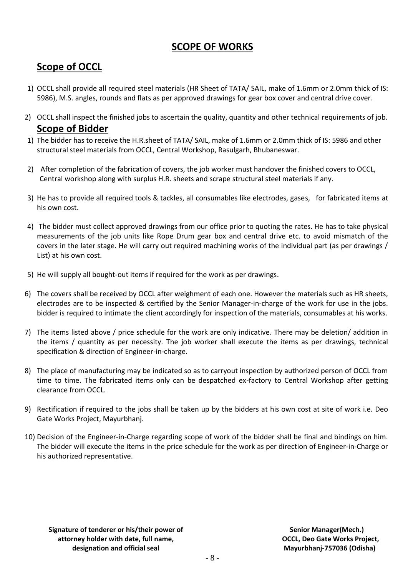### **SCOPE OF WORKS**

# **Scope of OCCL**

- 1) OCCL shall provide all required steel materials (HR Sheet of TATA/ SAIL, make of 1.6mm or 2.0mm thick of IS: 5986), M.S. angles, rounds and flats as per approved drawings for gear box cover and central drive cover.
- 2) OCCL shall inspect the finished jobs to ascertain the quality, quantity and other technical requirements of job. **Scope of Bidder**
- 1) The bidder has to receive the H.R.sheet of TATA/ SAIL, make of 1.6mm or 2.0mm thick of IS: 5986 and other structural steel materials from OCCL, Central Workshop, Rasulgarh, Bhubaneswar.
- 2) After completion of the fabrication of covers, the job worker must handover the finished covers to OCCL, Central workshop along with surplus H.R. sheets and scrape structural steel materials if any.
- 3) He has to provide all required tools & tackles, all consumables like electrodes, gases, for fabricated items at his own cost.
- 4) The bidder must collect approved drawings from our office prior to quoting the rates. He has to take physical measurements of the job units like Rope Drum gear box and central drive etc. to avoid mismatch of the covers in the later stage. He will carry out required machining works of the individual part (as per drawings / List) at his own cost.
- 5) He will supply all bought-out items if required for the work as per drawings.
- 6) The covers shall be received by OCCL after weighment of each one. However the materials such as HR sheets, electrodes are to be inspected & certified by the Senior Manager-in-charge of the work for use in the jobs. bidder is required to intimate the client accordingly for inspection of the materials, consumables at his works.
- 7) The items listed above / price schedule for the work are only indicative. There may be deletion/ addition in the items / quantity as per necessity. The job worker shall execute the items as per drawings, technical specification & direction of Engineer-in-charge.
- 8) The place of manufacturing may be indicated so as to carryout inspection by authorized person of OCCL from time to time. The fabricated items only can be despatched ex-factory to Central Workshop after getting clearance from OCCL.
- 9) Rectification if required to the jobs shall be taken up by the bidders at his own cost at site of work i.e. Deo Gate Works Project, Mayurbhanj.
- 10) Decision of the Engineer-in-Charge regarding scope of work of the bidder shall be final and bindings on him. The bidder will execute the items in the price schedule for the work as per direction of Engineer-in-Charge or his authorized representative.

**Signature of tenderer or his/their power of attorney holder with date, full name, designation and official seal**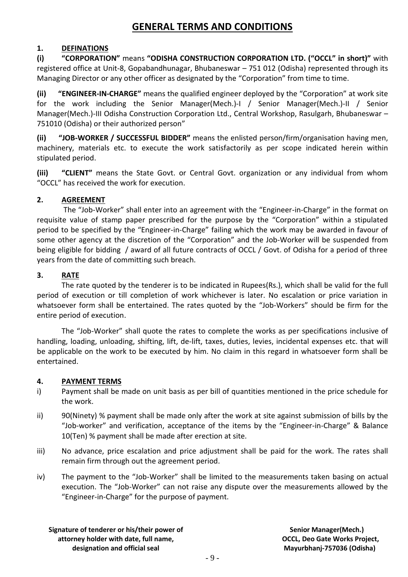### **GENERAL TERMS AND CONDITIONS**

#### **1. DEFINATIONS**

**(i) "CORPORATION"** means **"ODISHA CONSTRUCTION CORPORATION LTD. ("OCCL" in short)"** with registered office at Unit-8, Gopabandhunagar, Bhubaneswar – 751 012 (Odisha) represented through its Managing Director or any other officer as designated by the "Corporation" from time to time.

**(ii) "ENGINEER-IN-CHARGE"** means the qualified engineer deployed by the "Corporation" at work site for the work including the Senior Manager(Mech.)-I / Senior Manager(Mech.)-II / Senior Manager(Mech.)-III Odisha Construction Corporation Ltd., Central Workshop, Rasulgarh, Bhubaneswar – 751010 (Odisha) or their authorized person"

**(ii) "JOB-WORKER / SUCCESSFUL BIDDER"** means the enlisted person/firm/organisation having men, machinery, materials etc. to execute the work satisfactorily as per scope indicated herein within stipulated period.

**(iii) "CLIENT"** means the State Govt. or Central Govt. organization or any individual from whom "OCCL" has received the work for execution.

#### **2. AGREEMENT**

The "Job-Worker" shall enter into an agreement with the "Engineer-in-Charge" in the format on requisite value of stamp paper prescribed for the purpose by the "Corporation" within a stipulated period to be specified by the "Engineer-in-Charge" failing which the work may be awarded in favour of some other agency at the discretion of the "Corporation" and the Job-Worker will be suspended from being eligible for bidding / award of all future contracts of OCCL / Govt. of Odisha for a period of three years from the date of committing such breach.

#### **3. RATE**

The rate quoted by the tenderer is to be indicated in Rupees(Rs.), which shall be valid for the full period of execution or till completion of work whichever is later. No escalation or price variation in whatsoever form shall be entertained. The rates quoted by the "Job-Workers" should be firm for the entire period of execution.

The "Job-Worker" shall quote the rates to complete the works as per specifications inclusive of handling, loading, unloading, shifting, lift, de-lift, taxes, duties, levies, incidental expenses etc. that will be applicable on the work to be executed by him. No claim in this regard in whatsoever form shall be entertained.

#### **4. PAYMENT TERMS**

- i) Payment shall be made on unit basis as per bill of quantities mentioned in the price schedule for the work.
- ii) 90(Ninety) % payment shall be made only after the work at site against submission of bills by the "Job-worker" and verification, acceptance of the items by the "Engineer-in-Charge" & Balance 10(Ten) % payment shall be made after erection at site.
- iii) No advance, price escalation and price adjustment shall be paid for the work. The rates shall remain firm through out the agreement period.
- iv) The payment to the "Job-Worker" shall be limited to the measurements taken basing on actual execution. The "Job-Worker" can not raise any dispute over the measurements allowed by the "Engineer-in-Charge" for the purpose of payment.

**Signature of tenderer or his/their power of attorney holder with date, full name, designation and official seal**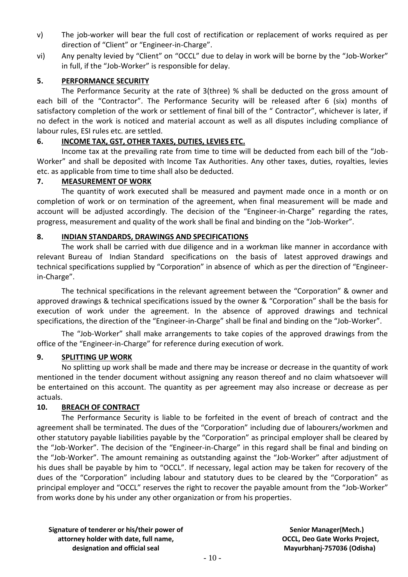- v) The job-worker will bear the full cost of rectification or replacement of works required as per direction of "Client" or "Engineer-in-Charge".
- vi) Any penalty levied by "Client" on "OCCL" due to delay in work will be borne by the "Job-Worker" in full, if the "Job-Worker" is responsible for delay.

#### **5. PERFORMANCE SECURITY**

The Performance Security at the rate of 3(three) % shall be deducted on the gross amount of each bill of the "Contractor". The Performance Security will be released after 6 (six) months of satisfactory completion of the work or settlement of final bill of the " Contractor", whichever is later, if no defect in the work is noticed and material account as well as all disputes including compliance of labour rules, ESI rules etc. are settled.

#### **6. INCOME TAX, GST, OTHER TAXES, DUTIES, LEVIES ETC.**

Income tax at the prevailing rate from time to time will be deducted from each bill of the "Job-Worker" and shall be deposited with Income Tax Authorities. Any other taxes, duties, royalties, levies etc. as applicable from time to time shall also be deducted.

#### **7. MEASUREMENT OF WORK**

The quantity of work executed shall be measured and payment made once in a month or on completion of work or on termination of the agreement, when final measurement will be made and account will be adjusted accordingly. The decision of the "Engineer-in-Charge" regarding the rates, progress, measurement and quality of the work shall be final and binding on the "Job-Worker".

#### **8. INDIAN STANDARDS, DRAWINGS AND SPECIFICATIONS**

The work shall be carried with due diligence and in a workman like manner in accordance with relevant Bureau of Indian Standard specifications on the basis of latest approved drawings and technical specifications supplied by "Corporation" in absence of which as per the direction of "Engineerin-Charge".

The technical specifications in the relevant agreement between the "Corporation" & owner and approved drawings & technical specifications issued by the owner & "Corporation" shall be the basis for execution of work under the agreement. In the absence of approved drawings and technical specifications, the direction of the "Engineer-in-Charge" shall be final and binding on the "Job-Worker".

The "Job-Worker" shall make arrangements to take copies of the approved drawings from the office of the "Engineer-in-Charge" for reference during execution of work.

#### **9. SPLITTING UP WORK**

No splitting up work shall be made and there may be increase or decrease in the quantity of work mentioned in the tender document without assigning any reason thereof and no claim whatsoever will be entertained on this account. The quantity as per agreement may also increase or decrease as per actuals.

#### **10. BREACH OF CONTRACT**

The Performance Security is liable to be forfeited in the event of breach of contract and the agreement shall be terminated. The dues of the "Corporation" including due of labourers/workmen and other statutory payable liabilities payable by the "Corporation" as principal employer shall be cleared by the "Job-Worker". The decision of the "Engineer-in-Charge" in this regard shall be final and binding on the "Job-Worker". The amount remaining as outstanding against the "Job-Worker" after adjustment of his dues shall be payable by him to "OCCL". If necessary, legal action may be taken for recovery of the dues of the "Corporation" including labour and statutory dues to be cleared by the "Corporation" as principal employer and "OCCL" reserves the right to recover the payable amount from the "Job-Worker" from works done by his under any other organization or from his properties.

**Signature of tenderer or his/their power of attorney holder with date, full name, designation and official seal**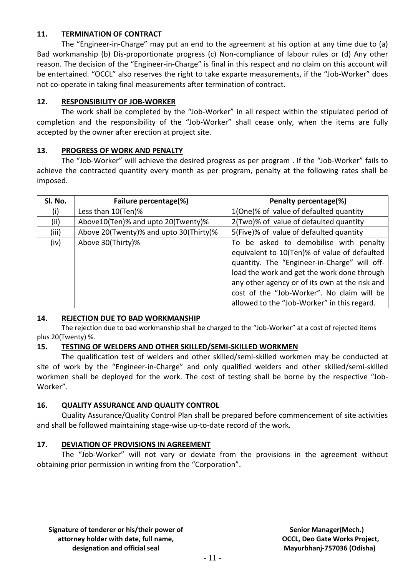#### **11. TERMINATION OF CONTRACT**

The "Engineer-in-Charge" may put an end to the agreement at his option at any time due to (a) Bad workmanship (b) Dis-proportionate progress (c) Non-compliance of labour rules or (d) Any other reason. The decision of the "Engineer-in-Charge" is final in this respect and no claim on this account will be entertained. "OCCL" also reserves the right to take exparte measurements, if the "Job-Worker" does not co-operate in taking final measurements after termination of contract.

#### **12. RESPONSIBILITY OF JOB-WORKER**

The work shall be completed by the "Job-Worker" in all respect within the stipulated period of completion and the responsibility of the "Job-Worker" shall cease only, when the items are fully accepted by the owner after erection at project site.

#### **13. PROGRESS OF WORK AND PENALTY**

The "Job-Worker" will achieve the desired progress as per program . If the "Job-Worker" fails to achieve the contracted quantity every month as per program, penalty at the following rates shall be imposed.

| SI. No. | Failure percentage(%)                  | Penalty percentage(%)                                                                                                                                                                                                                                                                                                                |  |  |  |
|---------|----------------------------------------|--------------------------------------------------------------------------------------------------------------------------------------------------------------------------------------------------------------------------------------------------------------------------------------------------------------------------------------|--|--|--|
| (i)     | Less than 10(Ten)%                     | 1(One)% of value of defaulted quantity                                                                                                                                                                                                                                                                                               |  |  |  |
| (ii)    | Above10(Ten)% and upto 20(Twenty)%     | 2(Two)% of value of defaulted quantity                                                                                                                                                                                                                                                                                               |  |  |  |
| (iii)   | Above 20(Twenty)% and upto 30(Thirty)% | 5(Five)% of value of defaulted quantity                                                                                                                                                                                                                                                                                              |  |  |  |
| (iv)    | Above 30(Thirty)%                      | To be asked to demobilise with penalty<br>equivalent to 10(Ten)% of value of defaulted<br>quantity. The "Engineer-in-Charge" will off-<br>load the work and get the work done through<br>any other agency or of its own at the risk and<br>cost of the "Job-Worker". No claim will be<br>allowed to the "Job-Worker" in this regard. |  |  |  |

#### **14. REJECTION DUE TO BAD WORKMANSHIP**

The rejection due to bad workmanship shall be charged to the "Job-Worker" at a cost of rejected items plus 20(Twenty) %.

#### **15. TESTING OF WELDERS AND OTHER SKILLED/SEMI-SKILLED WORKMEN**

The qualification test of welders and other skilled/semi-skilled workmen may be conducted at site of work by the "Engineer-in-Charge" and only qualified welders and other skilled/semi-skilled workmen shall be deployed for the work. The cost of testing shall be borne by the respective "Job-Worker".

#### **16. QUALITY ASSURANCE AND QUALITY CONTROL**

Quality Assurance/Quality Control Plan shall be prepared before commencement of site activities and shall be followed maintaining stage-wise up-to-date record of the work.

#### **17. DEVIATION OF PROVISIONS IN AGREEMENT**

The "Job-Worker" will not vary or deviate from the provisions in the agreement without obtaining prior permission in writing from the "Corporation".

**Signature of tenderer or his/their power of attorney holder with date, full name, designation and official seal**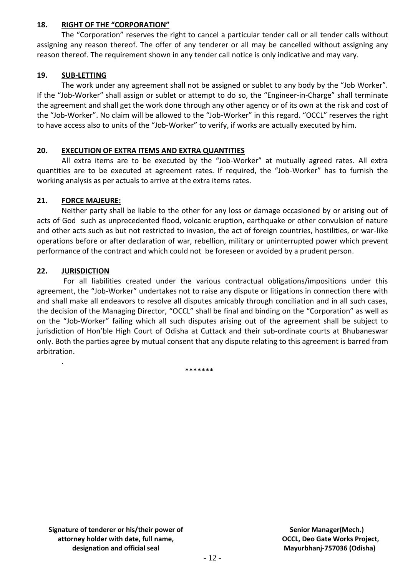#### **18. RIGHT OF THE "CORPORATION"**

The "Corporation" reserves the right to cancel a particular tender call or all tender calls without assigning any reason thereof. The offer of any tenderer or all may be cancelled without assigning any reason thereof. The requirement shown in any tender call notice is only indicative and may vary.

#### **19. SUB-LETTING**

The work under any agreement shall not be assigned or sublet to any body by the "Job Worker". If the "Job-Worker" shall assign or sublet or attempt to do so, the "Engineer-in-Charge" shall terminate the agreement and shall get the work done through any other agency or of its own at the risk and cost of the "Job-Worker". No claim will be allowed to the "Job-Worker" in this regard. "OCCL" reserves the right to have access also to units of the "Job-Worker" to verify, if works are actually executed by him.

#### **20. EXECUTION OF EXTRA ITEMS AND EXTRA QUANTITIES**

All extra items are to be executed by the "Job-Worker" at mutually agreed rates. All extra quantities are to be executed at agreement rates. If required, the "Job-Worker" has to furnish the working analysis as per actuals to arrive at the extra items rates.

#### **21. FORCE MAJEURE:**

Neither party shall be liable to the other for any loss or damage occasioned by or arising out of acts of God such as unprecedented flood, volcanic eruption, earthquake or other convulsion of nature and other acts such as but not restricted to invasion, the act of foreign countries, hostilities, or war-like operations before or after declaration of war, rebellion, military or uninterrupted power which prevent performance of the contract and which could not be foreseen or avoided by a prudent person.

#### **22. JURISDICTION**

.

For all liabilities created under the various contractual obligations/impositions under this agreement, the "Job-Worker" undertakes not to raise any dispute or litigations in connection there with and shall make all endeavors to resolve all disputes amicably through conciliation and in all such cases, the decision of the Managing Director, "OCCL" shall be final and binding on the "Corporation" as well as on the "Job-Worker" failing which all such disputes arising out of the agreement shall be subject to jurisdiction of Hon'ble High Court of Odisha at Cuttack and their sub-ordinate courts at Bhubaneswar only. Both the parties agree by mutual consent that any dispute relating to this agreement is barred from arbitration.

\*\*\*\*\*\*\*

**Signature of tenderer or his/their power of attorney holder with date, full name, designation and official seal**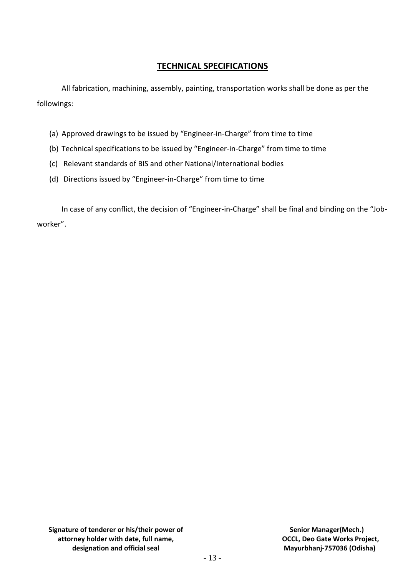### **TECHNICAL SPECIFICATIONS**

All fabrication, machining, assembly, painting, transportation works shall be done as per the followings:

- (a) Approved drawings to be issued by "Engineer-in-Charge" from time to time
- (b) Technical specifications to be issued by "Engineer-in-Charge" from time to time
- (c) Relevant standards of BIS and other National/International bodies
- (d) Directions issued by "Engineer-in-Charge" from time to time

In case of any conflict, the decision of "Engineer-in-Charge" shall be final and binding on the "Jobworker".